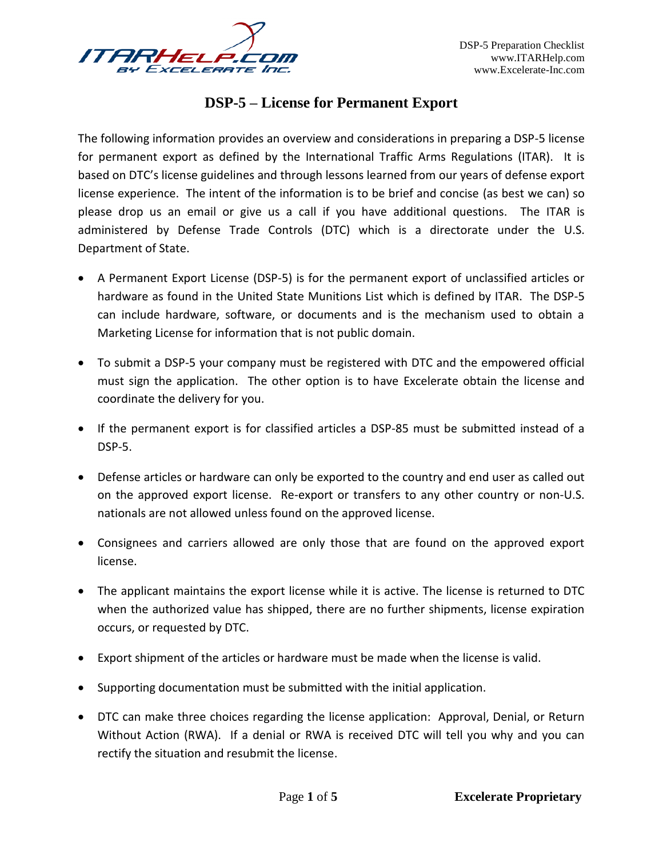

## **DSP-5 – License for Permanent Export**

The following information provides an overview and considerations in preparing a DSP-5 license for permanent export as defined by the International Traffic Arms Regulations (ITAR). It is based on DTC's license guidelines and through lessons learned from our years of defense export license experience. The intent of the information is to be brief and concise (as best we can) so please drop us an email or give us a call if you have additional questions. The ITAR is administered by Defense Trade Controls (DTC) which is a directorate under the U.S. Department of State.

- A Permanent Export License (DSP-5) is for the permanent export of unclassified articles or hardware as found in the United State Munitions List which is defined by ITAR. The DSP-5 can include hardware, software, or documents and is the mechanism used to obtain a Marketing License for information that is not public domain.
- To submit a DSP-5 your company must be registered with DTC and the empowered official must sign the application. The other option is to have Excelerate obtain the license and coordinate the delivery for you.
- If the permanent export is for classified articles a DSP-85 must be submitted instead of a DSP-5.
- Defense articles or hardware can only be exported to the country and end user as called out on the approved export license. Re-export or transfers to any other country or non-U.S. nationals are not allowed unless found on the approved license.
- Consignees and carriers allowed are only those that are found on the approved export license.
- The applicant maintains the export license while it is active. The license is returned to DTC when the authorized value has shipped, there are no further shipments, license expiration occurs, or requested by DTC.
- Export shipment of the articles or hardware must be made when the license is valid.
- Supporting documentation must be submitted with the initial application.
- DTC can make three choices regarding the license application: Approval, Denial, or Return Without Action (RWA). If a denial or RWA is received DTC will tell you why and you can rectify the situation and resubmit the license.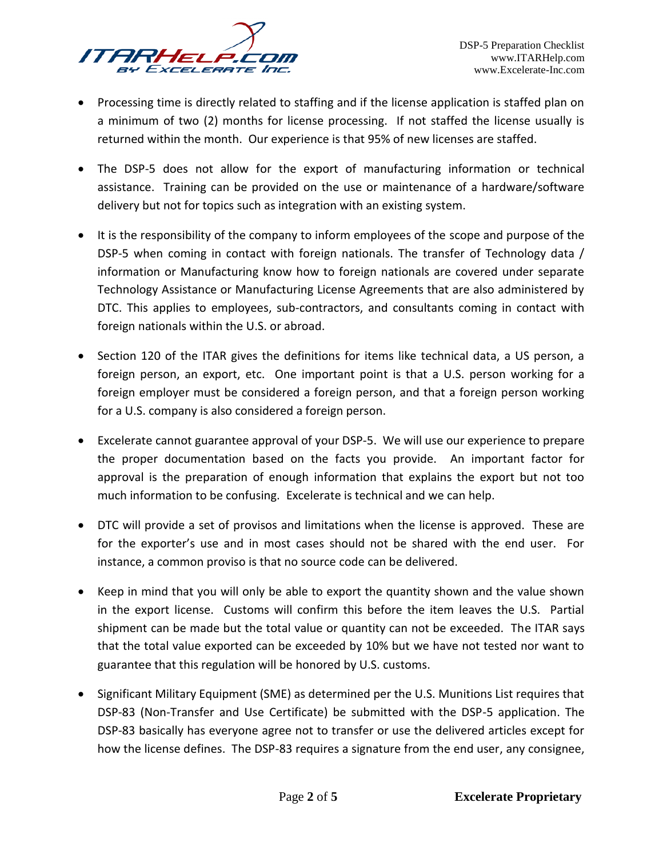- Processing time is directly related to staffing and if the license application is staffed plan on a minimum of two (2) months for license processing. If not staffed the license usually is returned within the month. Our experience is that 95% of new licenses are staffed.
- The DSP-5 does not allow for the export of manufacturing information or technical assistance. Training can be provided on the use or maintenance of a hardware/software delivery but not for topics such as integration with an existing system.
- It is the responsibility of the company to inform employees of the scope and purpose of the DSP-5 when coming in contact with foreign nationals. The transfer of Technology data / information or Manufacturing know how to foreign nationals are covered under separate Technology Assistance or Manufacturing License Agreements that are also administered by DTC. This applies to employees, sub-contractors, and consultants coming in contact with foreign nationals within the U.S. or abroad.
- Section 120 of the ITAR gives the definitions for items like technical data, a US person, a foreign person, an export, etc. One important point is that a U.S. person working for a foreign employer must be considered a foreign person, and that a foreign person working for a U.S. company is also considered a foreign person.
- Excelerate cannot guarantee approval of your DSP-5. We will use our experience to prepare the proper documentation based on the facts you provide. An important factor for approval is the preparation of enough information that explains the export but not too much information to be confusing. Excelerate is technical and we can help.
- DTC will provide a set of provisos and limitations when the license is approved. These are for the exporter's use and in most cases should not be shared with the end user. For instance, a common proviso is that no source code can be delivered.
- Keep in mind that you will only be able to export the quantity shown and the value shown in the export license. Customs will confirm this before the item leaves the U.S. Partial shipment can be made but the total value or quantity can not be exceeded. The ITAR says that the total value exported can be exceeded by 10% but we have not tested nor want to guarantee that this regulation will be honored by U.S. customs.
- Significant Military Equipment (SME) as determined per the U.S. Munitions List requires that DSP-83 (Non-Transfer and Use Certificate) be submitted with the DSP-5 application. The DSP-83 basically has everyone agree not to transfer or use the delivered articles except for how the license defines. The DSP-83 requires a signature from the end user, any consignee,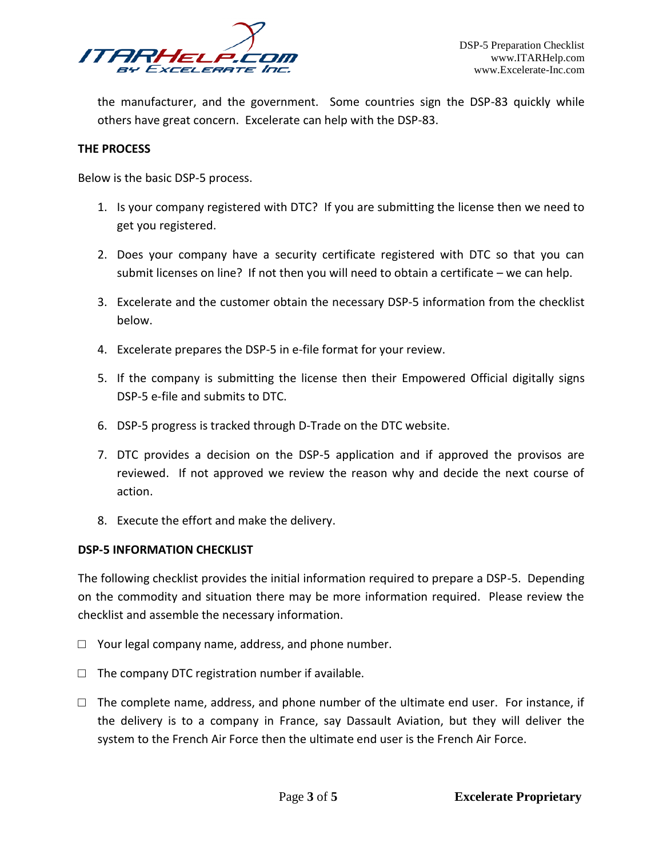

the manufacturer, and the government. Some countries sign the DSP-83 quickly while others have great concern. Excelerate can help with the DSP-83.

## **THE PROCESS**

Below is the basic DSP-5 process.

- 1. Is your company registered with DTC? If you are submitting the license then we need to get you registered.
- 2. Does your company have a security certificate registered with DTC so that you can submit licenses on line? If not then you will need to obtain a certificate – we can help.
- 3. Excelerate and the customer obtain the necessary DSP-5 information from the checklist below.
- 4. Excelerate prepares the DSP-5 in e-file format for your review.
- 5. If the company is submitting the license then their Empowered Official digitally signs DSP-5 e-file and submits to DTC.
- 6. DSP-5 progress is tracked through D-Trade on the DTC website.
- 7. DTC provides a decision on the DSP-5 application and if approved the provisos are reviewed. If not approved we review the reason why and decide the next course of action.
- 8. Execute the effort and make the delivery.

## **DSP-5 INFORMATION CHECKLIST**

The following checklist provides the initial information required to prepare a DSP-5. Depending on the commodity and situation there may be more information required. Please review the checklist and assemble the necessary information.

- $\Box$  Your legal company name, address, and phone number.
- $\Box$  The company DTC registration number if available.
- $\square$  The complete name, address, and phone number of the ultimate end user. For instance, if the delivery is to a company in France, say Dassault Aviation, but they will deliver the system to the French Air Force then the ultimate end user is the French Air Force.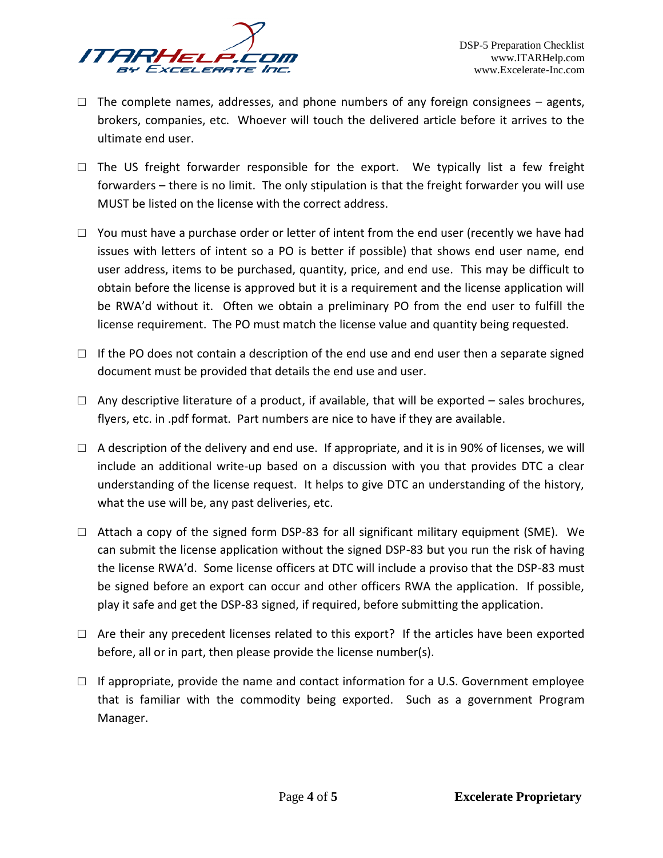

- $\Box$  The complete names, addresses, and phone numbers of any foreign consignees agents, brokers, companies, etc. Whoever will touch the delivered article before it arrives to the ultimate end user.
- $\square$  The US freight forwarder responsible for the export. We typically list a few freight forwarders – there is no limit. The only stipulation is that the freight forwarder you will use MUST be listed on the license with the correct address.
- $\Box$  You must have a purchase order or letter of intent from the end user (recently we have had issues with letters of intent so a PO is better if possible) that shows end user name, end user address, items to be purchased, quantity, price, and end use. This may be difficult to obtain before the license is approved but it is a requirement and the license application will be RWA'd without it. Often we obtain a preliminary PO from the end user to fulfill the license requirement. The PO must match the license value and quantity being requested.
- $\Box$  If the PO does not contain a description of the end use and end user then a separate signed document must be provided that details the end use and user.
- $\Box$  Any descriptive literature of a product, if available, that will be exported sales brochures, flyers, etc. in .pdf format. Part numbers are nice to have if they are available.
- $\Box$  A description of the delivery and end use. If appropriate, and it is in 90% of licenses, we will include an additional write-up based on a discussion with you that provides DTC a clear understanding of the license request. It helps to give DTC an understanding of the history, what the use will be, any past deliveries, etc.
- $\Box$  Attach a copy of the signed form DSP-83 for all significant military equipment (SME). We can submit the license application without the signed DSP-83 but you run the risk of having the license RWA'd. Some license officers at DTC will include a proviso that the DSP-83 must be signed before an export can occur and other officers RWA the application. If possible, play it safe and get the DSP-83 signed, if required, before submitting the application.
- $\Box$  Are their any precedent licenses related to this export? If the articles have been exported before, all or in part, then please provide the license number(s).
- $\Box$  If appropriate, provide the name and contact information for a U.S. Government employee that is familiar with the commodity being exported. Such as a government Program Manager.